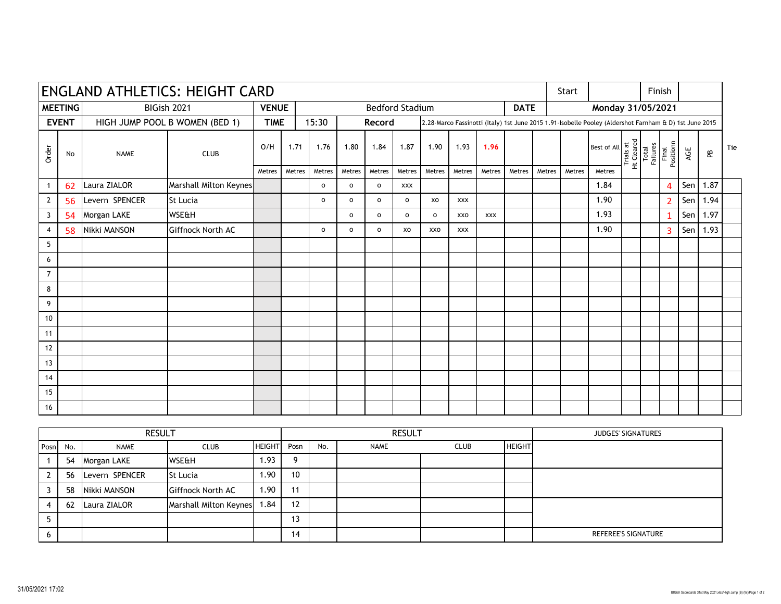| <b>ENGLAND ATHLETICS: HEIGHT CARD</b> |    |                                |                        |              |        |                                       |                |              |            |              |                                                                                                        |            |        |                   | Start  |                                                                                                                            |  |                   | Finish             |     |      |     |
|---------------------------------------|----|--------------------------------|------------------------|--------------|--------|---------------------------------------|----------------|--------------|------------|--------------|--------------------------------------------------------------------------------------------------------|------------|--------|-------------------|--------|----------------------------------------------------------------------------------------------------------------------------|--|-------------------|--------------------|-----|------|-----|
| <b>MEETING</b>                        |    | BIGish 2021                    |                        | <b>VENUE</b> |        | <b>Bedford Stadium</b><br><b>DATE</b> |                |              |            |              |                                                                                                        |            |        | Monday 31/05/2021 |        |                                                                                                                            |  |                   |                    |     |      |     |
| <b>EVENT</b>                          |    | HIGH JUMP POOL B WOMEN (BED 1) |                        | <b>TIME</b>  |        | 15:30                                 |                | Record       |            |              | 2.28-Marco Fassinotti (Italy) 1st June 2015 1.91-Isobelle Pooley (Aldershot Farnham & D) 1st June 2015 |            |        |                   |        |                                                                                                                            |  |                   |                    |     |      |     |
| Order                                 | No | <b>NAME</b>                    | <b>CLUB</b>            | O/H          | 1.71   | 1.76                                  | 1.80           | 1.84         | 1.87       | 1.90         | 1.93                                                                                                   | 1.96       |        |                   |        | Best of All $\frac{1}{\pi}$<br>$\frac{1}{\pi}$<br>$\frac{1}{\pi}$<br>$\frac{1}{\pi}$<br>$\frac{1}{\pi}$<br>$\frac{1}{\pi}$ |  | Total<br>Failures | Final<br>Positionn | AGE | æ    | Tie |
|                                       |    |                                |                        | Metres       | Metres | Metres                                | Metres         | Metres       | Metres     | Metres       | Metres                                                                                                 | Metres     | Metres | Metres            | Metres | Metres                                                                                                                     |  |                   |                    |     |      |     |
|                                       | 62 | Laura ZIALOR                   | Marshall Milton Keynes |              |        | $\mathsf{o}$                          | $\mathsf{o}\,$ | $\mathbf{o}$ | <b>XXX</b> |              |                                                                                                        |            |        |                   |        | 1.84                                                                                                                       |  |                   | 4                  | Sen | 1.87 |     |
| $\mathbf{2}$                          | 56 | Levern SPENCER                 | <b>St Lucia</b>        |              |        | $\mathsf{o}\,$                        | $\circ$        | $\mathbf{o}$ | $\circ$    | xo           | <b>XXX</b>                                                                                             |            |        |                   |        | 1.90                                                                                                                       |  |                   | $\overline{2}$     | Sen | 1.94 |     |
| 3                                     | 54 | Morgan LAKE                    | WSE&H                  |              |        |                                       | $\circ$        | $\circ$      | $\circ$    | $\mathbf{o}$ | <b>XXO</b>                                                                                             | <b>XXX</b> |        |                   |        | 1.93                                                                                                                       |  |                   | 1                  | Sen | 1.97 |     |
| 4                                     | 58 | Nikki MANSON                   | Giffnock North AC      |              |        | $\mathsf{o}\,$                        | $\mathsf{o}\,$ | $\mathbf{o}$ | XO         | <b>XXO</b>   | <b>XXX</b>                                                                                             |            |        |                   |        | 1.90                                                                                                                       |  |                   | 3                  | Sen | 1.93 |     |
| 5                                     |    |                                |                        |              |        |                                       |                |              |            |              |                                                                                                        |            |        |                   |        |                                                                                                                            |  |                   |                    |     |      |     |
| 6                                     |    |                                |                        |              |        |                                       |                |              |            |              |                                                                                                        |            |        |                   |        |                                                                                                                            |  |                   |                    |     |      |     |
| 7                                     |    |                                |                        |              |        |                                       |                |              |            |              |                                                                                                        |            |        |                   |        |                                                                                                                            |  |                   |                    |     |      |     |
| 8                                     |    |                                |                        |              |        |                                       |                |              |            |              |                                                                                                        |            |        |                   |        |                                                                                                                            |  |                   |                    |     |      |     |
| 9                                     |    |                                |                        |              |        |                                       |                |              |            |              |                                                                                                        |            |        |                   |        |                                                                                                                            |  |                   |                    |     |      |     |
| 10                                    |    |                                |                        |              |        |                                       |                |              |            |              |                                                                                                        |            |        |                   |        |                                                                                                                            |  |                   |                    |     |      |     |
| 11                                    |    |                                |                        |              |        |                                       |                |              |            |              |                                                                                                        |            |        |                   |        |                                                                                                                            |  |                   |                    |     |      |     |
| 12                                    |    |                                |                        |              |        |                                       |                |              |            |              |                                                                                                        |            |        |                   |        |                                                                                                                            |  |                   |                    |     |      |     |
| 13                                    |    |                                |                        |              |        |                                       |                |              |            |              |                                                                                                        |            |        |                   |        |                                                                                                                            |  |                   |                    |     |      |     |
| 14                                    |    |                                |                        |              |        |                                       |                |              |            |              |                                                                                                        |            |        |                   |        |                                                                                                                            |  |                   |                    |     |      |     |
| 15                                    |    |                                |                        |              |        |                                       |                |              |            |              |                                                                                                        |            |        |                   |        |                                                                                                                            |  |                   |                    |     |      |     |
| 16                                    |    |                                |                        |              |        |                                       |                |              |            |              |                                                                                                        |            |        |                   |        |                                                                                                                            |  |                   |                    |     |      |     |

|   |          | <b>RESULT</b>  |                        |               |      |     | <b>RESULT</b> |             |               | JUDGES' SIGNATURES  |
|---|----------|----------------|------------------------|---------------|------|-----|---------------|-------------|---------------|---------------------|
|   | Posn No. | <b>NAME</b>    | <b>CLUB</b>            | <b>HEIGHT</b> | Posn | No. | <b>NAME</b>   | <b>CLUB</b> | <b>HEIGHT</b> |                     |
|   | 54       | Morgan LAKE    | WSE&H                  | . 93. ،       | 9    |     |               |             |               |                     |
|   | 56       | Levern SPENCER | St Lucia               | . .90         | 10   |     |               |             |               |                     |
|   | 58       | Nikki MANSON   | Giffnock North AC      | . 90. ،       | 11   |     |               |             |               |                     |
|   | -62      | Laura ZIALOR   | Marshall Milton Keynes | 84.،          | 12   |     |               |             |               |                     |
|   |          |                |                        |               | 13   |     |               |             |               |                     |
| b |          |                |                        |               | 14   |     |               |             |               | REFEREE'S SIGNATURE |